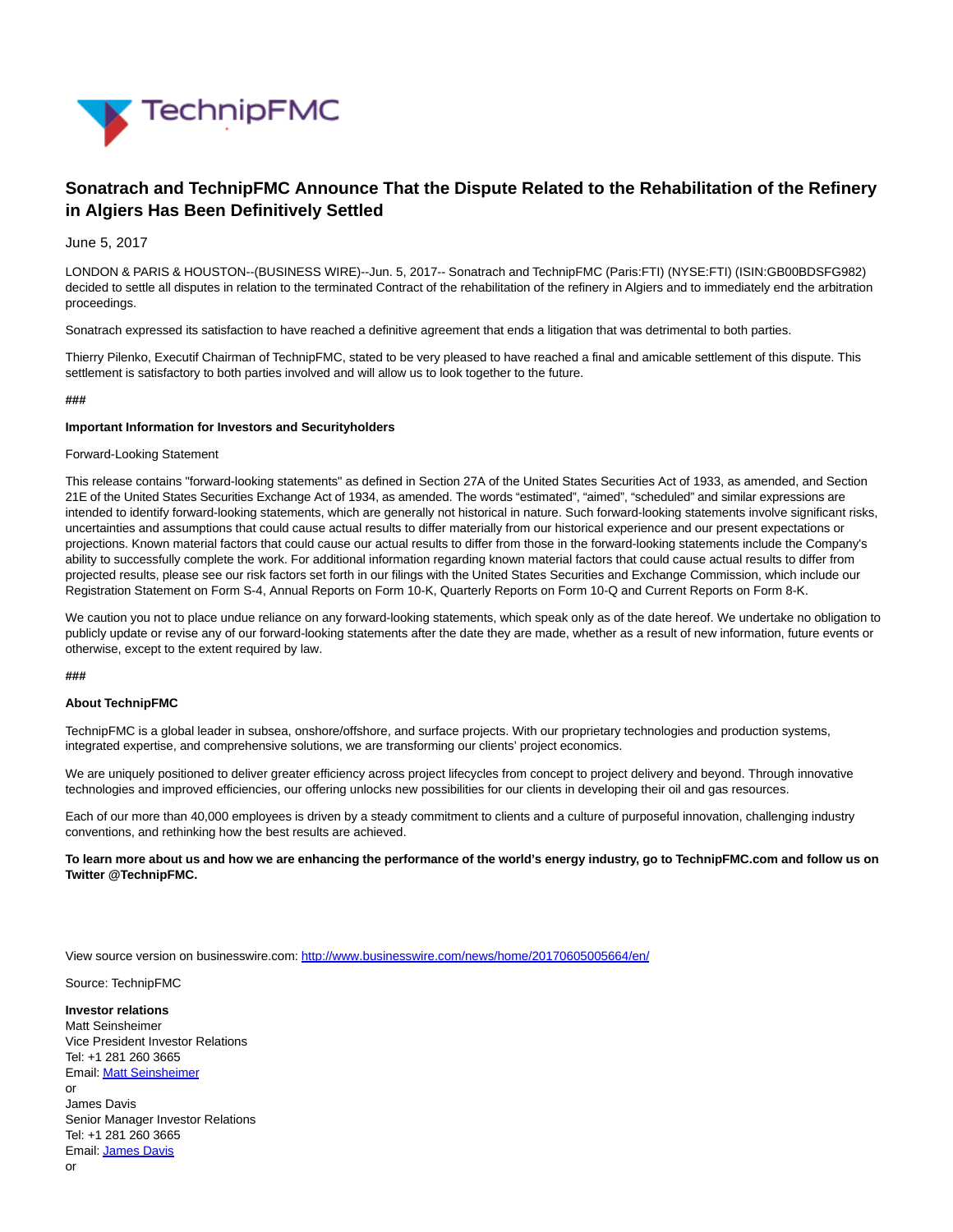

# **Sonatrach and TechnipFMC Announce That the Dispute Related to the Rehabilitation of the Refinery in Algiers Has Been Definitively Settled**

June 5, 2017

LONDON & PARIS & HOUSTON--(BUSINESS WIRE)--Jun. 5, 2017-- Sonatrach and TechnipFMC (Paris:FTI) (NYSE:FTI) (ISIN:GB00BDSFG982) decided to settle all disputes in relation to the terminated Contract of the rehabilitation of the refinery in Algiers and to immediately end the arbitration proceedings.

Sonatrach expressed its satisfaction to have reached a definitive agreement that ends a litigation that was detrimental to both parties.

Thierry Pilenko, Executif Chairman of TechnipFMC, stated to be very pleased to have reached a final and amicable settlement of this dispute. This settlement is satisfactory to both parties involved and will allow us to look together to the future.

## **###**

## **Important Information for Investors and Securityholders**

# Forward-Looking Statement

This release contains "forward-looking statements" as defined in Section 27A of the United States Securities Act of 1933, as amended, and Section 21E of the United States Securities Exchange Act of 1934, as amended. The words "estimated", "aimed", "scheduled" and similar expressions are intended to identify forward-looking statements, which are generally not historical in nature. Such forward-looking statements involve significant risks, uncertainties and assumptions that could cause actual results to differ materially from our historical experience and our present expectations or projections. Known material factors that could cause our actual results to differ from those in the forward-looking statements include the Company's ability to successfully complete the work. For additional information regarding known material factors that could cause actual results to differ from projected results, please see our risk factors set forth in our filings with the United States Securities and Exchange Commission, which include our Registration Statement on Form S-4, Annual Reports on Form 10-K, Quarterly Reports on Form 10-Q and Current Reports on Form 8-K.

We caution you not to place undue reliance on any forward-looking statements, which speak only as of the date hereof. We undertake no obligation to publicly update or revise any of our forward-looking statements after the date they are made, whether as a result of new information, future events or otherwise, except to the extent required by law.

#### **###**

# **About TechnipFMC**

TechnipFMC is a global leader in subsea, onshore/offshore, and surface projects. With our proprietary technologies and production systems, integrated expertise, and comprehensive solutions, we are transforming our clients' project economics.

We are uniquely positioned to deliver greater efficiency across project lifecycles from concept to project delivery and beyond. Through innovative technologies and improved efficiencies, our offering unlocks new possibilities for our clients in developing their oil and gas resources.

Each of our more than 40,000 employees is driven by a steady commitment to clients and a culture of purposeful innovation, challenging industry conventions, and rethinking how the best results are achieved.

**To learn more about us and how we are enhancing the performance of the world's energy industry, go to TechnipFMC.com and follow us on Twitter @TechnipFMC.**

View source version on businesswire.com:<http://www.businesswire.com/news/home/20170605005664/en/>

Source: TechnipFMC

**Investor relations** Matt Seinsheimer Vice President Investor Relations Tel: +1 281 260 3665 Email[: Matt Seinsheimer](mailto:InvestorRelations@TechnipFMC.com) or James Davis Senior Manager Investor Relations Tel: +1 281 260 3665 Email[: James Davis](mailto:InvestorRelations@TechnipFMC.com) or